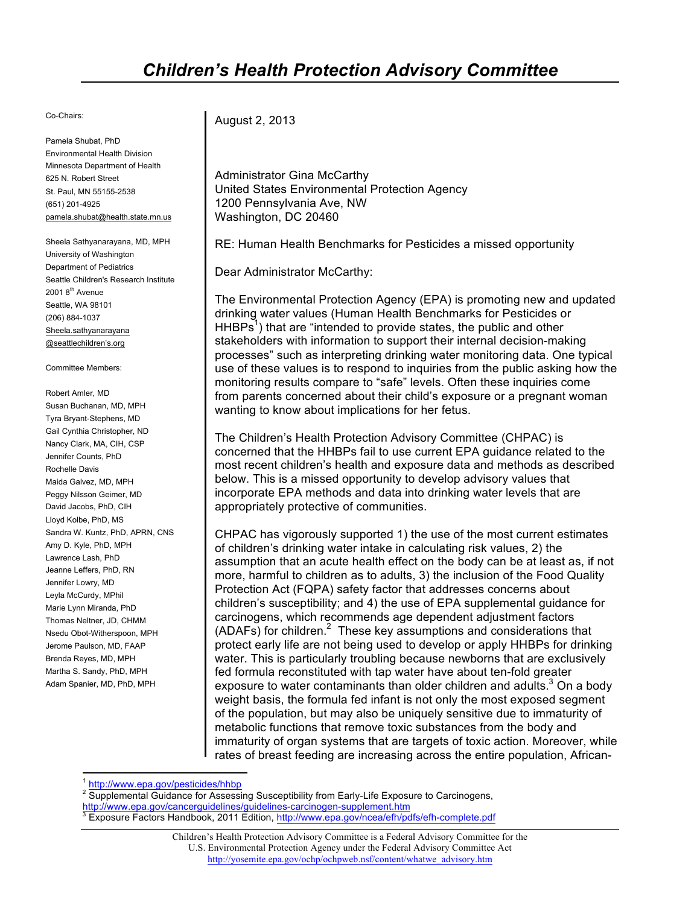## Co-Chairs:

 Pamela Shubat, PhD Environmental Health Division Minnesota Department of Health 625 N. Robert Street St. Paul, MN 55155-2538 (651) 201-4925 pamela.shubat@health.state.mn.us

 Sheela Sathyanarayana, MD, MPH University of Washington Department of Pediatrics Seattle Children's Research Institute 2001 8<sup>th</sup> Avenue Seattle, WA 98101 (206) 884-1037 Sheela.sathyanarayana @seattlechildren's.org

Committee Members:

 Robert Amler, MD Susan Buchanan, MD, MPH Gail Cynthia Christopher, ND Nancy Clark, MA, CIH, CSP Jennifer Counts, PhD Maida Galvez, MD, MPH Peggy Nilsson Geimer, MD David Jacobs, PhD, CIH Lloyd Kolbe, PhD, MS Sandra W. Kuntz, PhD, APRN, CNS Amy D. Kyle, PhD, MPH Jeanne Leffers, PhD, RN Jennifer Lowry, MD Marie Lynn Miranda, PhD Thomas Neltner, JD, CHMM Brenda Reyes, MD, MPH Martha S. Sandy, PhD, MPH Adam Spanier, MD, PhD, MPH Tyra Bryant-Stephens, MD Rochelle Davis Lawrence Lash, PhD Leyla McCurdy, MPhil Nsedu Obot-Witherspoon, MPH Jerome Paulson, MD, FAAP

August 2, 2013

 United States Environmental Protection Agency Washington, DC 20460 Administrator Gina McCarthy 1200 Pennsylvania Ave, NW

RE: Human Health Benchmarks for Pesticides a missed opportunity

Dear Administrator McCarthy:

 The Environmental Protection Agency (EPA) is promoting new and updated drinking water values (Human Health Benchmarks for Pesticides or  $HHBPs<sup>1</sup>$ ) that are "intended to provide states, the public and other stakeholders with information to support their internal decision-making processes" such as interpreting drinking water monitoring data. One typical use of these values is to respond to inquiries from the public asking how the monitoring results compare to "safe" levels. Often these inquiries come wanting to know about implications for her fetus. from parents concerned about their child's exposure or a pregnant woman

 The Children's Health Protection Advisory Committee (CHPAC) is concerned that the HHBPs fail to use current EPA guidance related to the most recent children's health and exposure data and methods as described below. This is a missed opportunity to develop advisory values that incorporate EPA methods and data into drinking water levels that are appropriately protective of communities.

appropriately protective of communities.<br>CHPAC has vigorously supported 1) the use of the most current estimates of children's drinking water intake in calculating risk values, 2) the assumption that an acute health effect on the body can be at least as, if not more, harmful to children as to adults, 3) the inclusion of the Food Quality Protection Act (FQPA) safety factor that addresses concerns about children's susceptibility; and 4) the use of EPA supplemental guidance for carcinogens, which recommends age dependent adjustment factors (ADAFs) for children.<sup>2</sup> These key assumptions and considerations that protect early life are not being used to develop or apply HHBPs for drinking water. This is particularly troubling because newborns that are exclusively exposure to water contaminants than older children and adults. $3$  On a body weight basis, the formula fed infant is not only the most exposed segment of the population, but may also be uniquely sensitive due to immaturity of metabolic functions that remove toxic substances from the body and immaturity of organ systems that are targets of toxic action. Moreover, while rates of breast feeding are increasing across the entire population, Africanfed formula reconstituted with tap water have about ten-fold greater

<sup>2</sup> Supplemental Guidance for Assessing Susceptibility from Early-Life Exposure to Carcinogens,

<sup>1</sup> http://www.epa.gov/pesticides/hhbp

<sup>&</sup>lt;mark>http://www.epa.gov/cancerguidelines/guidelines-carcinogen-supplement.htm</mark><br><sup>3</sup> Exposure Factors Handbook, 2011 Edition, http://www.epa.gov/ncea/efh/pdfs/efh-complete.pdf

 Children's Health Protection Advisory Committee is a Federal Advisory Committee for the U.S. Environmental Protection Agency under the Federal Advisory Committee Act http://yosemite.epa.gov/ochp/ochpweb.nsf/content/whatwe\_advisory.htm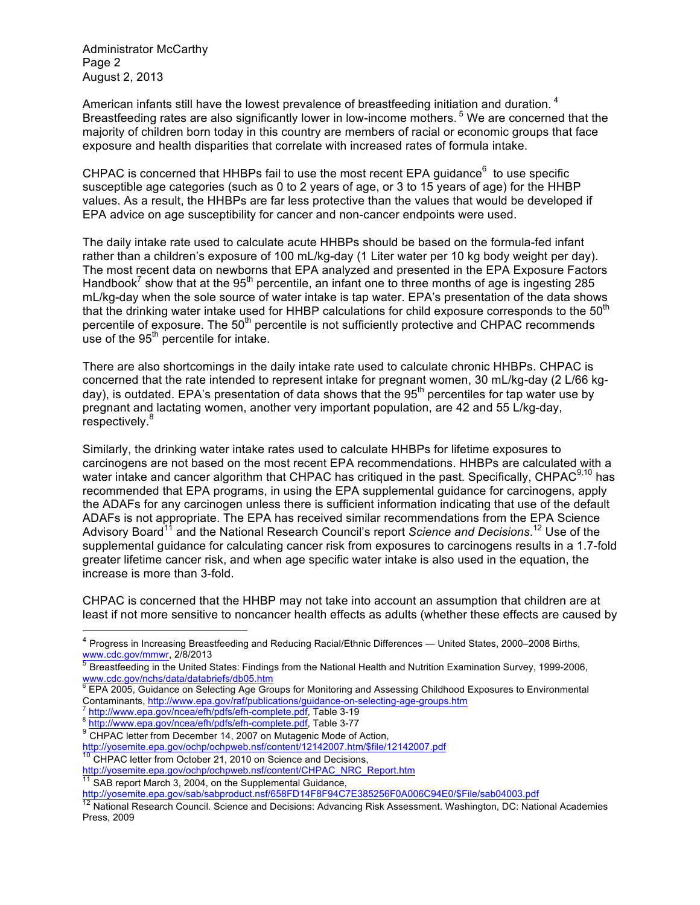Administrator McCarthy Page 2 August 2, 2013

Breastfeeding rates are also significantly lower in low-income mothers.<sup>5</sup> We are concerned that the majority of children born today in this country are members of racial or economic groups that face exposure and health disparities that correlate with increased rates of formula intake. American infants still have the lowest prevalence of breastfeeding initiation and duration.<sup>4</sup>

CHPAC is concerned that HHBPs fail to use the most recent EPA guidance $<sup>6</sup>$  to use specific</sup> susceptible age categories (such as 0 to 2 years of age, or 3 to 15 years of age) for the HHBP values. As a result, the HHBPs are far less protective than the values that would be developed if EPA advice on age susceptibility for cancer and non-cancer endpoints were used.

 The daily intake rate used to calculate acute HHBPs should be based on the formula-fed infant rather than a children's exposure of 100 mL/kg-day (1 Liter water per 10 kg body weight per day). The most recent data on newborns that EPA analyzed and presented in the EPA Exposure Factors Handbook<sup>7</sup> show that at the 95<sup>th</sup> percentile, an infant one to three months of age is ingesting 285 mL/kg-day when the sole source of water intake is tap water. EPA's presentation of the data shows that the drinking water intake used for HHBP calculations for child exposure corresponds to the 50<sup>th</sup> percentile of exposure. The 50<sup>th</sup> percentile is not sufficiently protective and CHPAC recommends use of the  $95<sup>th</sup>$  percentile for intake.

 There are also shortcomings in the daily intake rate used to calculate chronic HHBPs. CHPAC is concerned that the rate intended to represent intake for pregnant women, 30 mL/kg-day (2 L/66 kgday), is outdated. EPA's presentation of data shows that the 95<sup>th</sup> percentiles for tap water use by pregnant and lactating women, another very important population, are 42 and 55 L/kg-day, respectively.<sup>8</sup>

 Similarly, the drinking water intake rates used to calculate HHBPs for lifetime exposures to carcinogens are not based on the most recent EPA recommendations. HHBPs are calculated with a water intake and cancer algorithm that CHPAC has critiqued in the past. Specifically, CHPAC<sup>9,10</sup> has recommended that EPA programs, in using the EPA supplemental guidance for carcinogens, apply the ADAFs for any carcinogen unless there is sufficient information indicating that use of the default ADAFs is not appropriate. The EPA has received similar recommendations from the EPA Science Advisory Board<sup>11</sup> and the National Research Council's report *Science and Decisions*.<sup>12</sup> Use of the supplemental guidance for calculating cancer risk from exposures to carcinogens results in a 1.7-fold greater lifetime cancer risk, and when age specific water intake is also used in the equation, the increase is more than 3-fold.

 CHPAC is concerned that the HHBP may not take into account an assumption that children are at least if not more sensitive to noncancer health effects as adults (whether these effects are caused by

http://yosemite.epa.gov/ochp/ochpweb.nsf/content/12142007.htm/\$file/12142007.pdf

<sup>10</sup> CHPAC letter from October 21, 2010 on Science and Decisions,

<sup>11</sup> SAB report March 3, 2004, on the Supplemental Guidance,

 $^4$  Progress in Increasing Breastfeeding and Reducing Racial/Ethnic Differences — United States, 2000–2008 Births, www.cdc.gov/mmwr, 2/8/2013<br><sup>5</sup> Breastfeeding in the United States: Findings from the National Health and Nutrition Examination Survey, 1999-2006, www.cdc.gov/mmwr, 2/8/2013

www.cdc.gov/nchs/data/databriefs/db05.htm

 $6$  EPA 2005, Guidance on Selecting Age Groups for Monitoring and Assessing Childhood Exposures to Environmental Contaminants, <u>http://www.epa.gov/raf/publications/guidance-on-selecting-age-groups.htm</u><br><sup>7</sup> http://www.epa.gov/ncea/efh/pdfs/efh-complete.pdf, Table 3-19<br><sup>8</sup> http://www.epa.gov/ncea/efh/pdfs/efh-complete.pdf, Table 3-77<br><sup></sup>

http://www.epa.gov/ncea/efh/pdfs/efh-complete.pdf, Table 3-77

http://yosemite.epa.gov/ochp/ochpweb.nsf/content/CHPAC\_NRC\_Report.htm

http://yosemite.epa.gov/sab/sabproduct.nsf/658FD14F8F94C7E385256F0A006C94E0/\$File/sab04003.pdf

<sup>&</sup>lt;sup>12</sup> National Research Council. Science and Decisions: Advancing Risk Assessment. Washington, DC: National Academies Press, 2009